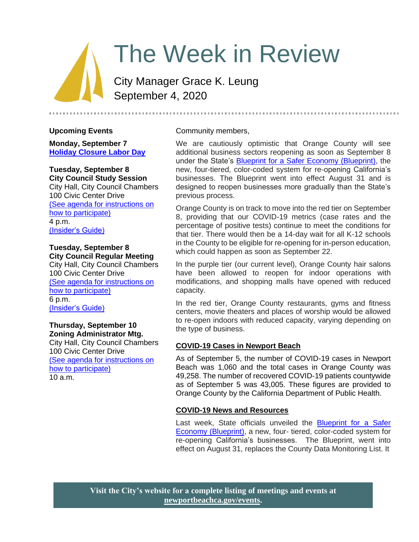# The Week in Review

City Manager Grace K. Leung September 4, 2020

#### **Upcoming Events**

**Monday, September 7 [Holiday Closure Labor Day](https://www.newportbeachca.gov/Home/Components/Calendar/Event/63691/72)**

# **Tuesday, September 8**

**City Council Study Session** City Hall, City Council Chambers 100 Civic Center Drive [\(See agenda for instructions on](https://www.newportbeachca.gov/Home/Components/Calendar/Event/54192/72)  [how to participate\)](https://www.newportbeachca.gov/Home/Components/Calendar/Event/54192/72) 4 p.m. [\(Insider's Guide\)](#page-4-0)

#### **Tuesday, September 8 City Council Regular Meeting**

City Hall, City Council Chambers 100 Civic Center Drive [\(See agenda for instructions on](https://www.newportbeachca.gov/Home/Components/Calendar/Event/54215/72)  [how to participate\)](https://www.newportbeachca.gov/Home/Components/Calendar/Event/54215/72) 6 p.m. [\(Insider's Guide\)](#page-4-0)

#### **Thursday, September 10 Zoning Administrator Mtg.**

City Hall, City Council Chambers 100 Civic Center Drive [\(See agenda for instructions on](https://www.newportbeachca.gov/government/departments/community-development/planning-division/zoning-administrator)  [how to participate\)](https://www.newportbeachca.gov/government/departments/community-development/planning-division/zoning-administrator) 10 a.m.

Community members,

We are cautiously optimistic that Orange County will see additional business sectors reopening as soon as September 8 under the State's [Blueprint for a Safer Economy \(Blueprint\),](https://covid19.ca.gov/safer-economy/) the new, four-tiered, color-coded system for re-opening California's businesses. The Blueprint went into effect August 31 and is designed to reopen businesses more gradually than the State's previous process.

Orange County is on track to move into the red tier on September 8, providing that our COVID-19 metrics (case rates and the percentage of positive tests) continue to meet the conditions for that tier. There would then be a 14-day wait for all K-12 schools in the County to be eligible for re-opening for in-person education, which could happen as soon as September 22.

In the purple tier (our current level), Orange County hair salons have been allowed to reopen for indoor operations with modifications, and shopping malls have opened with reduced capacity.

In the red tier, Orange County restaurants, gyms and fitness centers, movie theaters and places of worship would be allowed to re-open indoors with reduced capacity, varying depending on the type of business.

## **COVID-19 Cases in Newport Beach**

As of September 5, the number of COVID-19 cases in Newport Beach was 1,060 and the total cases in Orange County was 49,258. The number of recovered COVID-19 patients countywide as of September 5 was 43,005. These figures are provided to Orange County by the California Department of Public Health.

## **COVID-19 News and Resources**

Last week, State officials unveiled the Blueprint for a Safer [Economy \(Blueprint\),](https://covid19.ca.gov/safer-economy/) a new, four- tiered, color-coded system for re-opening California's businesses. The Blueprint, went into effect on August 31, replaces the County Data Monitoring List. It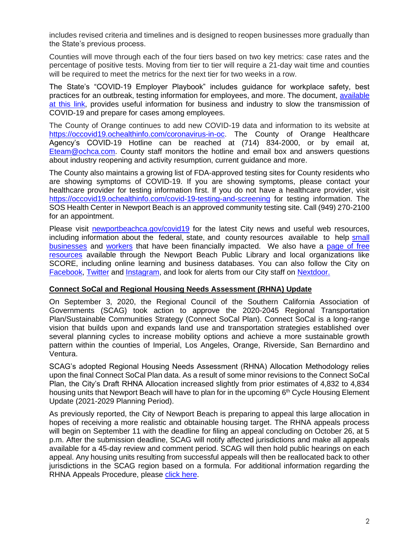includes revised criteria and timelines and is designed to reopen businesses more gradually than the State's previous process.

Counties will move through each of the four tiers based on two key metrics: case rates and the percentage of positive tests. Moving from tier to tier will require a 21-day wait time and counties will be required to meet the metrics for the next tier for two weeks in a row.

The State's "COVID-19 Employer Playbook" includes guidance for workplace safety, best practices for an outbreak, testing information for employees, and more. The document, [available](https://files.covid19.ca.gov/pdf/employer-playbook-for-safe-reopening--en.pdf)  [at this link,](https://files.covid19.ca.gov/pdf/employer-playbook-for-safe-reopening--en.pdf) provides useful information for business and industry to slow the transmission of COVID-19 and prepare for cases among employees.

The County of Orange continues to add new COVID-19 data and information to its website at [https://occovid19.ochealthinfo.com/coronavirus-in-oc.](https://occovid19.ochealthinfo.com/coronavirus-in-oc) The County of Orange Healthcare Agency's COVID-19 Hotline can be reached at (714) 834-2000, or by email at, [Eteam@ochca.com.](mailto:Eteam@ochca.com) County staff monitors the hotline and email box and answers questions about industry reopening and activity resumption, current guidance and more.

The County also maintains a growing list of FDA-approved testing sites for County residents who are showing symptoms of COVID-19. If you are showing symptoms, please contact your healthcare provider for testing information first. If you do not have a healthcare provider, visit <https://occovid19.ochealthinfo.com/covid-19-testing-and-screening> for testing information. The SOS Health Center in Newport Beach is an approved community testing site. Call (949) 270-2100 for an appointment.

Please visit [newportbeachca.gov/covid19](https://www.newportbeachca.gov/how-do-i/find/disaster-preparedness-information/disease-outbreak/-fsiteid-1) for the latest City news and useful web resources, including information about the federal, state, and county resources available to help small [businesses](https://www.newportbeachca.gov/government/departments/city-manager/economic-development/small-business-support) and [workers](https://www.newportbeachca.gov/government/departments/city-manager/economic-development/support-for-employees) that have been financially impacted. We also have a [page of free](https://www.newportbeachca.gov/government/departments/city-manager/economic-development/small-business-support/business-employee-resources)  [resources](https://www.newportbeachca.gov/government/departments/city-manager/economic-development/small-business-support/business-employee-resources) available through the Newport Beach Public Library and local organizations like SCORE, including online learning and business databases. You can also follow the City on [Facebook,](https://www.facebook.com/pg/CityofNewportBeach) [Twitter](https://twitter.com/newportbeachgov) and [Instagram,](https://www.instagram.com/cityofnewportbeach/) and look for alerts from our City staff on [Nextdoor.](https://nextdoor.com/agency/city-of-newport-beach/?i=ltdytbjdbdkntfqttgcm)

#### **Connect SoCal and Regional Housing Needs Assessment (RHNA) Update**

On September 3, 2020, the Regional Council of the Southern California Association of Governments (SCAG) took action to approve the 2020-2045 Regional Transportation Plan/Sustainable Communities Strategy (Connect SoCal Plan). Connect SoCal is a long-range vision that builds upon and expands land use and transportation strategies established over several planning cycles to increase mobility options and achieve a more sustainable growth pattern within the counties of Imperial, Los Angeles, Orange, Riverside, San Bernardino and Ventura.

SCAG's adopted Regional Housing Needs Assessment (RHNA) Allocation Methodology relies upon the final Connect SoCal Plan data. As a result of some minor revisions to the Connect SoCal Plan, the City's Draft RHNA Allocation increased slightly from prior estimates of 4,832 to 4,834 housing units that Newport Beach will have to plan for in the upcoming  $6<sup>th</sup>$  Cycle Housing Element Update (2021-2029 Planning Period).

As previously reported, the City of Newport Beach is preparing to appeal this large allocation in hopes of receiving a more realistic and obtainable housing target. The RHNA appeals process will begin on September 11 with the deadline for filing an appeal concluding on October 26, at 5 p.m. After the submission deadline, SCAG will notify affected jurisdictions and make all appeals available for a 45-day review and comment period. SCAG will then hold public hearings on each appeal. Any housing units resulting from successful appeals will then be reallocated back to other jurisdictions in the SCAG region based on a formula. For additional information regarding the RHNA Appeals Procedure, please [click here.](http://scag.ca.gov/programs/Documents/RHNA/RHNA-Adopted-Appeals-Procedures.pdf)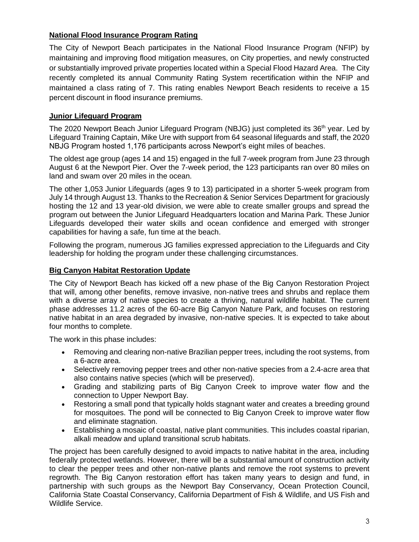# **National Flood Insurance Program Rating**

The City of Newport Beach participates in the National Flood Insurance Program (NFIP) by maintaining and improving flood mitigation measures, on City properties, and newly constructed or substantially improved private properties located within a Special Flood Hazard Area. The City recently completed its annual Community Rating System recertification within the NFIP and maintained a class rating of 7. This rating enables Newport Beach residents to receive a 15 percent discount in flood insurance premiums.

# **Junior Lifeguard Program**

The 2020 Newport Beach Junior Lifeguard Program (NBJG) just completed its 36<sup>th</sup> year. Led by Lifeguard Training Captain, Mike Ure with support from 64 seasonal lifeguards and staff, the 2020 NBJG Program hosted 1,176 participants across Newport's eight miles of beaches.

The oldest age group (ages 14 and 15) engaged in the full 7-week program from June 23 through August 6 at the Newport Pier. Over the 7-week period, the 123 participants ran over 80 miles on land and swam over 20 miles in the ocean.

The other 1,053 Junior Lifeguards (ages 9 to 13) participated in a shorter 5-week program from July 14 through August 13. Thanks to the Recreation & Senior Services Department for graciously hosting the 12 and 13 year-old division, we were able to create smaller groups and spread the program out between the Junior Lifeguard Headquarters location and Marina Park. These Junior Lifeguards developed their water skills and ocean confidence and emerged with stronger capabilities for having a safe, fun time at the beach.

Following the program, numerous JG families expressed appreciation to the Lifeguards and City leadership for holding the program under these challenging circumstances.

## **Big Canyon Habitat Restoration Update**

The City of Newport Beach has kicked off a new phase of the Big Canyon Restoration Project that will, among other benefits, remove invasive, non-native trees and shrubs and replace them with a diverse array of native species to create a thriving, natural wildlife habitat. The current phase addresses 11.2 acres of the 60-acre Big Canyon Nature Park, and focuses on restoring native habitat in an area degraded by invasive, non-native species. It is expected to take about four months to complete.

The work in this phase includes:

- Removing and clearing non-native Brazilian pepper trees, including the root systems, from a 6-acre area.
- Selectively removing pepper trees and other non-native species from a 2.4-acre area that also contains native species (which will be preserved).
- Grading and stabilizing parts of Big Canyon Creek to improve water flow and the connection to Upper Newport Bay.
- Restoring a small pond that typically holds stagnant water and creates a breeding ground for mosquitoes. The pond will be connected to Big Canyon Creek to improve water flow and eliminate stagnation.
- Establishing a mosaic of coastal, native plant communities. This includes coastal riparian, alkali meadow and upland transitional scrub habitats.

The project has been carefully designed to avoid impacts to native habitat in the area, including federally protected wetlands. However, there will be a substantial amount of construction activity to clear the pepper trees and other non-native plants and remove the root systems to prevent regrowth. The Big Canyon restoration effort has taken many years to design and fund, in partnership with such groups as the Newport Bay Conservancy, Ocean Protection Council, California State Coastal Conservancy, California Department of Fish & Wildlife, and US Fish and Wildlife Service.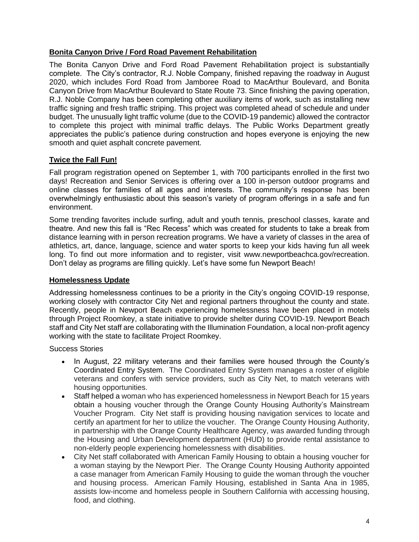#### **Bonita Canyon Drive / Ford Road Pavement Rehabilitation**

The Bonita Canyon Drive and Ford Road Pavement Rehabilitation project is substantially complete. The City's contractor, R.J. Noble Company, finished repaving the roadway in August 2020, which includes Ford Road from Jamboree Road to MacArthur Boulevard, and Bonita Canyon Drive from MacArthur Boulevard to State Route 73. Since finishing the paving operation, R.J. Noble Company has been completing other auxiliary items of work, such as installing new traffic signing and fresh traffic striping. This project was completed ahead of schedule and under budget. The unusually light traffic volume (due to the COVID-19 pandemic) allowed the contractor to complete this project with minimal traffic delays. The Public Works Department greatly appreciates the public's patience during construction and hopes everyone is enjoying the new smooth and quiet asphalt concrete pavement.

## **Twice the Fall Fun!**

Fall program registration opened on September 1, with 700 participants enrolled in the first two days! Recreation and Senior Services is offering over a 100 in-person outdoor programs and online classes for families of all ages and interests. The community's response has been overwhelmingly enthusiastic about this season's variety of program offerings in a safe and fun environment.

Some trending favorites include surfing, adult and youth tennis, preschool classes, karate and theatre. And new this fall is "Rec Recess" which was created for students to take a break from distance learning with in person recreation programs. We have a variety of classes in the area of athletics, art, dance, language, science and water sports to keep your kids having fun all week long. To find out more information and to register, visit www.newportbeachca.gov/recreation. Don't delay as programs are filling quickly. Let's have some fun Newport Beach!

#### **Homelessness Update**

Addressing homelessness continues to be a priority in the City's ongoing COVID-19 response, working closely with contractor City Net and regional partners throughout the county and state. Recently, people in Newport Beach experiencing homelessness have been placed in motels through Project Roomkey, a state initiative to provide shelter during COVID-19. Newport Beach staff and City Net staff are collaborating with the Illumination Foundation, a local non-profit agency working with the state to facilitate Project Roomkey.

Success Stories

- In August, 22 military veterans and their families were housed through the County's Coordinated Entry System. The Coordinated Entry System manages a roster of eligible veterans and confers with service providers, such as City Net, to match veterans with housing opportunities.
- Staff helped a woman who has experienced homelessness in Newport Beach for 15 years obtain a housing voucher through the Orange County Housing Authority's Mainstream Voucher Program. City Net staff is providing housing navigation services to locate and certify an apartment for her to utilize the voucher. The Orange County Housing Authority, in partnership with the Orange County Healthcare Agency, was awarded funding through the Housing and Urban Development department (HUD) to provide rental assistance to non-elderly people experiencing homelessness with disabilities.
- City Net staff collaborated with American Family Housing to obtain a housing voucher for a woman staying by the Newport Pier. The Orange County Housing Authority appointed a case manager from American Family Housing to guide the woman through the voucher and housing process. American Family Housing, established in Santa Ana in 1985, assists low-income and homeless people in Southern California with accessing housing, food, and clothing.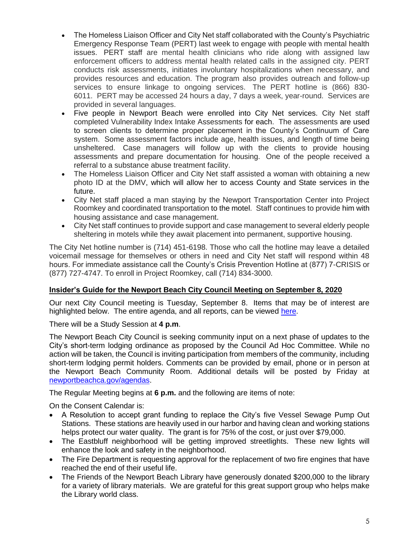- The Homeless Liaison Officer and City Net staff collaborated with the County's Psychiatric Emergency Response Team (PERT) last week to engage with people with mental health issues. PERT staff are mental health clinicians who ride along with assigned law enforcement officers to address mental health related calls in the assigned city. PERT conducts risk assessments, initiates involuntary hospitalizations when necessary, and provides resources and education. The program also provides outreach and follow-up services to ensure linkage to ongoing services. The PERT hotline is (866) 830- 6011. PERT may be accessed 24 hours a day, 7 days a week, year-round. Services are provided in several languages.
- Five people in Newport Beach were enrolled into City Net services. City Net staff completed Vulnerability Index Intake Assessments for each. The assessments are used to screen clients to determine proper placement in the County's Continuum of Care system. Some assessment factors include age, health issues, and length of time being unsheltered. Case managers will follow up with the clients to provide housing assessments and prepare documentation for housing. One of the people received a referral to a substance abuse treatment facility.
- The Homeless Liaison Officer and City Net staff assisted a woman with obtaining a new photo ID at the DMV, which will allow her to access County and State services in the future.
- City Net staff placed a man staying by the Newport Transportation Center into Project Roomkey and coordinated transportation to the motel. Staff continues to provide him with housing assistance and case management.
- City Net staff continues to provide support and case management to several elderly people sheltering in motels while they await placement into permanent, supportive housing.

The City Net hotline number is (714) 451-6198. Those who call the hotline may leave a detailed voicemail message for themselves or others in need and City Net staff will respond within 48 hours. For immediate assistance call the County's Crisis Prevention Hotline at (877) 7-CRISIS or (877) 727-4747. To enroll in Project Roomkey, call (714) 834-3000.

#### <span id="page-4-0"></span>**Insider's Guide for the Newport Beach City Council Meeting on September 8, 2020**

Our next City Council meeting is Tuesday, September 8. Items that may be of interest are highlighted below. The entire agenda, and all reports, can be viewed [here.](https://www.newportbeachca.gov/Home/Components/Calendar/Event/54215/72)

There will be a Study Session at **4 p.m**.

The Newport Beach City Council is seeking community input on a next phase of updates to the City's short-term lodging ordinance as proposed by the Council Ad Hoc Committee. While no action will be taken, the Council is inviting participation from members of the community, including short-term lodging permit holders. Comments can be provided by email, phone or in person at the Newport Beach Community Room. Additional details will be posted by Friday at [newportbeachca.gov/agendas.](https://www.newportbeachca.gov/government/open-government/agendas-minutes)

The Regular Meeting begins at **6 p.m.** and the following are items of note:

On the Consent Calendar is:

- A Resolution to accept grant funding to replace the City's five Vessel Sewage Pump Out Stations. These stations are heavily used in our harbor and having clean and working stations helps protect our water quality. The grant is for 75% of the cost, or just over \$79,000.
- The Eastbluff neighborhood will be getting improved streetlights. These new lights will enhance the look and safety in the neighborhood.
- The Fire Department is requesting approval for the replacement of two fire engines that have reached the end of their useful life.
- The Friends of the Newport Beach Library have generously donated \$200,000 to the library for a variety of library materials. We are grateful for this great support group who helps make the Library world class.